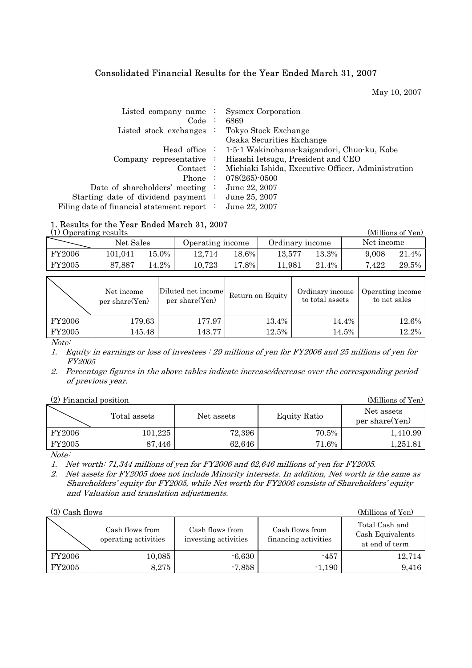### Consolidated Financial Results for the Year Ended March 31, 2007

May 10, 2007

| Listed company name $\cdot$<br>Code:                   | Sysmex Corporation<br>6869                                              |
|--------------------------------------------------------|-------------------------------------------------------------------------|
| Listed stock exchanges                                 | Tokyo Stock Exchange                                                    |
| Head office $\cdot$                                    | Osaka Securities Exchange<br>1-5-1 Wakinohama-kaigandori, Chuo-ku, Kobe |
| Company representative $\therefore$                    | Hisashi Ietsugu, President and CEO                                      |
| $\text{Context}$ :                                     | Michiaki Ishida, Executive Officer, Administration                      |
| Phone $\vdots$                                         | 078(265)-0500                                                           |
| Date of shareholders' meeting :                        | June 22, 2007                                                           |
| Starting date of dividend payment :                    | June 25, 2007                                                           |
| Filing date of financial statement report $\therefore$ | June 22, 2007                                                           |

### 1. Results for the Year Ended March 31, 2007

(1) Operating results (Millions of Yen)

|        | Net Sales |          | Operating income |          | Ordinary income |       | Net income |              |
|--------|-----------|----------|------------------|----------|-----------------|-------|------------|--------------|
| FY2006 | 101.041   | $15.0\%$ | 12.714           | $18.6\%$ | 13.577          | 13.3% | 9.008      | 21<br>$.4\%$ |
| FY2005 | 87.887    | $14.2\%$ | $10{,}723$       | 17.8%    | 11,981          | .4%   | 7.422      | 29.5%        |

|               | Net income<br>per share(Yen) | Diluted net income<br>per share(Yen) | Return on Equity | Ordinary income<br>to total assets | Operating income<br>to net sales |
|---------------|------------------------------|--------------------------------------|------------------|------------------------------------|----------------------------------|
| <b>FY2006</b> | 179.63                       | 177.97                               | 13.4%            | 14.4%                              | 12.6%                            |
| FY2005        | 145.48                       | 143.77                               | $12.5\%$         | $14.5\%$                           | 12.2%                            |

Note:

1. Equity in earnings or loss of investees : 29 millions of yen for FY2006 and 25 millions of yen for FY2005

2. Percentage figures in the above tables indicate increase/decrease over the corresponding period of previous year.

| (2) Financial position | (Millions of Yen) |            |                     |                              |
|------------------------|-------------------|------------|---------------------|------------------------------|
|                        | Total assets      | Net assets | <b>Equity Ratio</b> | Net assets<br>per share(Yen) |
| FY2006                 | 101,225           | 72,396     | 70.5%               | 1,410.99                     |
| FY2005                 | 87.446            | 62,646     | 71.6%               | 1,251.81                     |

Note:

1. Net worth: 71,344 millions of yen for FY2006 and 62,646 millions of yen for FY2005.

2. Net assets for FY2005 does not include Minority interests. In addition, Net worth is the same as Shareholders' equity for FY2005, while Net worth for FY2006 consists of Shareholders' equity and Valuation and translation adjustments.

(3) Cash flows (Millions of Yen)

|        | Cash flows from<br>operating activities | Cash flows from<br>investing activities | Cash flows from<br>financing activities | Total Cash and<br>Cash Equivalents<br>at end of term |
|--------|-----------------------------------------|-----------------------------------------|-----------------------------------------|------------------------------------------------------|
| FY2006 | 10,085                                  | $-6,630$                                | $-457$                                  | 12,714                                               |
| FY2005 | 8,275                                   | $-7,858$                                | $-1,190$                                | 9,416                                                |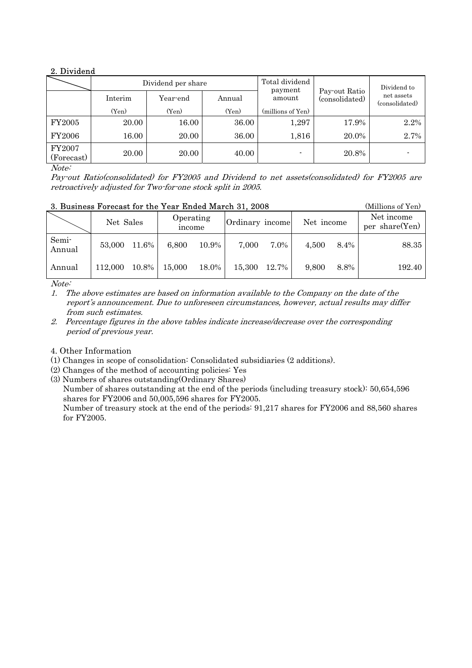### 2. Dividend

|                      |         | Dividend per share |        | Total dividend<br>payment |                                 | Dividend to                  |  |
|----------------------|---------|--------------------|--------|---------------------------|---------------------------------|------------------------------|--|
|                      | Interim | Year-end           | Annual | amount                    | Pay-out Ratio<br>(consolidated) | net assets<br>(consolidated) |  |
|                      | (Yen)   | (Yen)              | (Yen)  | (millions of Yen)         |                                 |                              |  |
| <b>FY2005</b>        | 20.00   | 16.00              | 36.00  | 1,297                     | 17.9%                           | 2.2%                         |  |
| <b>FY2006</b>        | 16.00   | 20.00              | 36.00  | 1,816                     | 20.0%                           | 2.7%                         |  |
| FY2007<br>(Forecast) | 20.00   | 20.00              | 40.00  | $\overline{\phantom{0}}$  | 20.8%                           |                              |  |

Note:

Pay-out Ratio(consolidated) for FY2005 and Dividend to net assets(consolidated) for FY2005 are retroactively adjusted for Two-for-one stock split in 2005.

| 3. Business Forecast for the Year Ended March 31, 2008 | (Millions of Yen) |       |                     |       |                 |       |            |      |                              |
|--------------------------------------------------------|-------------------|-------|---------------------|-------|-----------------|-------|------------|------|------------------------------|
|                                                        | Net Sales         |       | Operating<br>income |       | Ordinary income |       | Net income |      | Net income<br>per share(Yen) |
| Semi-<br>Annual                                        | 53,000            | 11.6% | 6.800               | 10.9% | 7,000           | 7.0%  | 4.500      | 8.4% | 88.35                        |
| Annual                                                 | 112,000           | 10.8% | 15,000              | 18.0% | 15,300          | 12.7% | 9.800      | 8.8% | 192.40                       |

Note:

1. The above estimates are based on information available to the Company on the date of the report's announcement. Due to unforeseen circumstances, however, actual results may differ from such estimates.

2. Percentage figures in the above tables indicate increase/decrease over the corresponding period of previous year.

### 4. Other Information

- (1) Changes in scope of consolidation: Consolidated subsidiaries (2 additions).
- (2) Changes of the method of accounting policies: Yes
- (3) Numbers of shares outstanding(Ordinary Shares)

Number of shares outstanding at the end of the periods (including treasury stock): 50,654,596 shares for FY2006 and 50,005,596 shares for FY2005.

Number of treasury stock at the end of the periods: 91,217 shares for FY2006 and 88,560 shares for FY2005.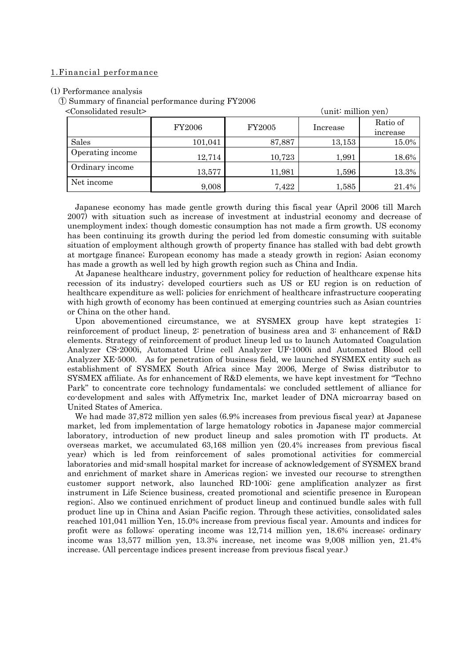#### 1.Financial performance

(1) Performance analysis

① Summary of financial performance during FY2006

<Consolidated result> (unit: million yen)

| Nonsonuateu resun∠ |               |        | , чине иншоп уепл |                      |
|--------------------|---------------|--------|-------------------|----------------------|
|                    | <b>FY2006</b> | FY2005 | Increase          | Ratio of<br>increase |
| Sales              | 101,041       | 87,887 | 13,153            | 15.0%                |
| Operating income   | 12,714        | 10,723 | 1,991             | 18.6%                |
| Ordinary income    | 13,577        | 11,981 | 1,596             | 13.3%                |
| Net income         | 9,008         | 7,422  | 1,585             | 21.4%                |

Japanese economy has made gentle growth during this fiscal year (April 2006 till March 2007) with situation such as increase of investment at industrial economy and decrease of unemployment index; though domestic consumption has not made a firm growth. US economy has been continuing its growth during the period led from domestic consuming with suitable situation of employment although growth of property finance has stalled with bad debt growth at mortgage finance; European economy has made a steady growth in region; Asian economy has made a growth as well led by high growth region such as China and India.

At Japanese healthcare industry, government policy for reduction of healthcare expense hits recession of its industry; developed courtiers such as US or EU region is on reduction of healthcare expenditure as well; policies for enrichment of healthcare infrastructure cooperating with high growth of economy has been continued at emerging countries such as Asian countries or China on the other hand.

Upon abovementioned circumstance, we at SYSMEX group have kept strategies 1: reinforcement of product lineup, 2: penetration of business area and 3: enhancement of R&D elements. Strategy of reinforcement of product lineup led us to launch Automated Coagulation Analyzer CS-2000i, Automated Urine cell Analyzer UF-1000i and Automated Blood cell Analyzer XE-5000. As for penetration of business field, we launched SYSMEX entity such as establishment of SYSMEX South Africa since May 2006, Merge of Swiss distributor to SYSMEX affiliate. As for enhancement of R&D elements, we have kept investment for "Techno Park" to concentrate core technology fundamentals; we concluded settlement of alliance for co-development and sales with Affymetrix Inc, market leader of DNA microarray based on United States of America.

We had made 37,872 million yen sales (6.9% increases from previous fiscal year) at Japanese market, led from implementation of large hematology robotics in Japanese major commercial laboratory, introduction of new product lineup and sales promotion with IT products. At overseas market, we accumulated 63,168 million yen (20.4% increases from previous fiscal year) which is led from reinforcement of sales promotional activities for commercial laboratories and mid-small hospital market for increase of acknowledgement of SYSMEX brand and enrichment of market share in Americas region; we invested our recourse to strengthen customer support network, also launched RD-100i: gene amplification analyzer as first instrument in Life Science business, created promotional and scientific presence in European region;. Also we continued enrichment of product lineup and continued bundle sales with full product line up in China and Asian Pacific region. Through these activities, consolidated sales reached 101,041 million Yen, 15.0% increase from previous fiscal year. Amounts and indices for profit were as follows: operating income was 12,714 million yen, 18.6% increase; ordinary income was 13,577 million yen, 13.3% increase, net income was 9,008 million yen, 21.4% increase. (All percentage indices present increase from previous fiscal year.)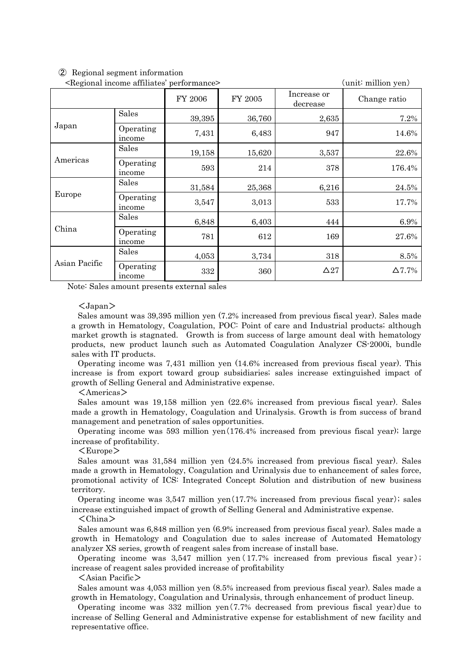#### ② Regional segment information

|               | <regional affiliates'="" income="" performance=""></regional> |         |         |                         | (unit: million yen) |
|---------------|---------------------------------------------------------------|---------|---------|-------------------------|---------------------|
|               |                                                               | FY 2006 | FY 2005 | Increase or<br>decrease | Change ratio        |
|               | Sales                                                         | 39,395  | 36,760  | 2,635                   | 7.2%                |
| Japan         | Operating<br>income                                           | 7,431   | 6,483   | 947                     | 14.6%               |
|               | Sales                                                         | 19,158  | 15,620  | 3,537                   | 22.6%               |
| Americas      | Operating<br>income                                           | 593     | 214     | 378                     | 176.4%              |
|               | Sales                                                         | 31,584  | 25,368  | 6,216                   | 24.5%               |
| Europe        | Operating<br>income                                           | 3,547   | 3,013   | 533                     | 17.7%               |
|               | Sales                                                         | 6,848   | 6,403   | 444                     | 6.9%                |
| China         | Operating<br>income                                           | 781     | 612     | 169                     | 27.6%               |
|               | <b>Sales</b>                                                  | 4,053   | 3,734   | 318                     | 8.5%                |
| Asian Pacific | Operating<br>income                                           | 332     | 360     | $\Delta27$              | $\Delta 7.7\%$      |

Note: Sales amount presents external sales

#### <Japan>

Sales amount was 39,395 million yen (7.2% increased from previous fiscal year). Sales made a growth in Hematology, Coagulation, POC: Point of care and Industrial products; although market growth is stagnated. Growth is from success of large amount deal with hematology products, new product launch such as Automated Coagulation Analyzer CS-2000i, bundle sales with IT products.

Operating income was 7,431 million yen (14.6% increased from previous fiscal year). This increase is from export toward group subsidiaries; sales increase extinguished impact of growth of Selling General and Administrative expense.

<Americas>

Sales amount was 19,158 million yen (22.6% increased from previous fiscal year). Sales made a growth in Hematology, Coagulation and Urinalysis. Growth is from success of brand management and penetration of sales opportunities.

Operating income was 593 million yen(176.4% increased from previous fiscal year); large increase of profitability.

#### $\langle$ Europe $\rangle$

Sales amount was 31,584 million yen (24.5% increased from previous fiscal year). Sales made a growth in Hematology, Coagulation and Urinalysis due to enhancement of sales force, promotional activity of ICS: Integrated Concept Solution and distribution of new business territory.

Operating income was 3,547 million yen(17.7% increased from previous fiscal year); sales increase extinguished impact of growth of Selling General and Administrative expense.

 $\langle$ China $\rangle$ 

Sales amount was 6,848 million yen (6.9% increased from previous fiscal year). Sales made a growth in Hematology and Coagulation due to sales increase of Automated Hematology analyzer XS series, growth of reagent sales from increase of install base.

Operating income was 3,547 million yen (17.7% increased from previous fiscal year); increase of reagent sales provided increase of profitability

<Asian Pacific>

Sales amount was 4,053 million yen (8.5% increased from previous fiscal year). Sales made a growth in Hematology, Coagulation and Urinalysis, through enhancement of product lineup.

Operating income was 332 million yen(7.7% decreased from previous fiscal year)due to increase of Selling General and Administrative expense for establishment of new facility and representative office.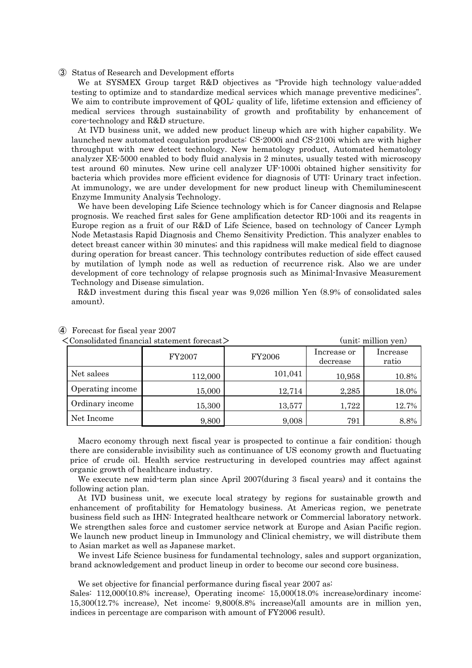#### ③ Status of Research and Development efforts

We at SYSMEX Group target R&D objectives as "Provide high technology value-added testing to optimize and to standardize medical services which manage preventive medicines". We aim to contribute improvement of QOL: quality of life, lifetime extension and efficiency of medical services through sustainability of growth and profitability by enhancement of core-technology and R&D structure.

At IVD business unit, we added new product lineup which are with higher capability. We launched new automated coagulation products: CS-2000i and CS-2100i which are with higher throughput with new detect technology. New hematology product, Automated hematology analyzer XE-5000 enabled to body fluid analysis in 2 minutes, usually tested with microscopy test around 60 minutes. New urine cell analyzer UF-1000i obtained higher sensitivity for bacteria which provides more efficient evidence for diagnosis of UTI: Urinary tract infection. At immunology, we are under development for new product lineup with Chemiluminescent Enzyme Immunity Analysis Technology.

We have been developing Life Science technology which is for Cancer diagnosis and Relapse prognosis. We reached first sales for Gene amplification detector RD-100i and its reagents in Europe region as a fruit of our R&D of Life Science, based on technology of Cancer Lymph Node Metastasis Rapid Diagnosis and Chemo Sensitivity Prediction. This analyzer enables to detect breast cancer within 30 minutes; and this rapidness will make medical field to diagnose during operation for breast cancer. This technology contributes reduction of side effect caused by mutilation of lymph node as well as reduction of recurrence risk. Also we are under development of core technology of relapse prognosis such as Minimal-Invasive Measurement Technology and Disease simulation.

R&D investment during this fiscal year was 9,026 million Yen (8.9% of consolidated sales amount).

| $\langle$ Consolidated financial statement forecast $\rangle$ |                         | (unit: million yen) |                         |                   |
|---------------------------------------------------------------|-------------------------|---------------------|-------------------------|-------------------|
|                                                               | FY2007<br><b>FY2006</b> |                     | Increase or<br>decrease | Increase<br>ratio |
| Net salees                                                    | 112,000                 | 101,041             | 10,958                  | 10.8%             |
| Operating income                                              | 15,000                  | 12,714              | 2,285                   | 18.0%             |
| Ordinary income                                               | 15,300                  | 13,577              | 1,722                   | 12.7%             |
| Net Income                                                    | 9,800                   | 9,008               | 791                     | 8.8%              |

# $\overline{4}$  Forecast for fiscal year 2007

Macro economy through next fiscal year is prospected to continue a fair condition; though there are considerable invisibility such as continuance of US economy growth and fluctuating price of crude oil. Health service restructuring in developed countries may affect against organic growth of healthcare industry.

We execute new mid-term plan since April 2007(during 3 fiscal years) and it contains the following action plan.

At IVD business unit, we execute local strategy by regions for sustainable growth and enhancement of profitability for Hematology business. At Americas region, we penetrate business field such as IHN: Integrated healthcare network or Commercial laboratory network. We strengthen sales force and customer service network at Europe and Asian Pacific region. We launch new product lineup in Immunology and Clinical chemistry, we will distribute them to Asian market as well as Japanese market.

We invest Life Science business for fundamental technology, sales and support organization, brand acknowledgement and product lineup in order to become our second core business.

We set objective for financial performance during fiscal year 2007 as:

Sales: 112,000(10.8% increase), Operating income: 15,000(18.0% increase)ordinary income: 15,300(12.7% increase), Net income: 9,800(8.8% increase)(all amounts are in million yen, indices in percentage are comparison with amount of FY2006 result).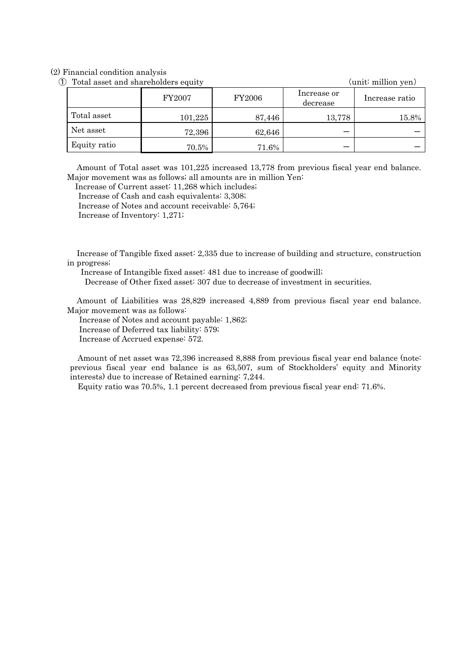#### (2) Financial condition analysis

|  |  | 1) Total asset and shareholders equity |  |  |  |
|--|--|----------------------------------------|--|--|--|
|--|--|----------------------------------------|--|--|--|

| Total asset and shareholders equity |         |               | (unit: million yen)     |                |
|-------------------------------------|---------|---------------|-------------------------|----------------|
|                                     | FY2007  | <b>FY2006</b> | Increase or<br>decrease | Increase ratio |
| Total asset                         | 101,225 | 87,446        | 13,778                  | 15.8%          |
| Net asset                           | 72,396  | 62,646        |                         |                |
| Equity ratio                        | 70.5%   | 71.6%         |                         |                |

Amount of Total asset was 101,225 increased 13,778 from previous fiscal year end balance. Major movement was as follows; all amounts are in million Yen:

Increase of Current asset: 11,268 which includes;

Increase of Cash and cash equivalents: 3,308;

Increase of Notes and account receivable: 5,764;

Increase of Inventory: 1,271;

Increase of Tangible fixed asset: 2,335 due to increase of building and structure, construction in progress;

Increase of Intangible fixed asset: 481 due to increase of goodwill; Decrease of Other fixed asset: 307 due to decrease of investment in securities.

Amount of Liabilities was 28,829 increased 4,889 from previous fiscal year end balance. Major movement was as follows:

Increase of Notes and account payable: 1,862; Increase of Deferred tax liability: 579; Increase of Accrued expense: 572.

Amount of net asset was 72,396 increased 8,888 from previous fiscal year end balance (note: previous fiscal year end balance is as 63,507, sum of Stockholders' equity and Minority interests) due to increase of Retained earning: 7,244.

Equity ratio was 70.5%, 1.1 percent decreased from previous fiscal year end: 71.6%.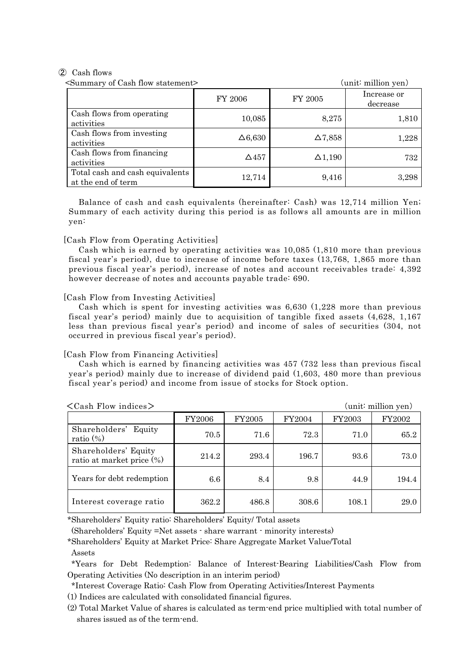#### ② Cash flows

<Summary of Cash flow statement> (unit: million yen)

|                                                       | FY 2006        | FY 2005        | Increase or<br>decrease |
|-------------------------------------------------------|----------------|----------------|-------------------------|
| Cash flows from operating<br>activities               | 10,085         | 8,275          | 1,810                   |
| Cash flows from investing<br>activities               | $\Delta 6,630$ | $\Delta 7,858$ | 1,228                   |
| Cash flows from financing<br>activities               | $\Delta$ 457   | $\Delta$ 1,190 | 732                     |
| Total cash and cash equivalents<br>at the end of term | 12,714         | 9,416          | 3,298                   |

Balance of cash and cash equivalents (hereinafter: Cash) was 12,714 million Yen; Summary of each activity during this period is as follows all amounts are in million yen:

#### [Cash Flow from Operating Activities]

Cash which is earned by operating activities was 10,085 (1,810 more than previous fiscal year's period), due to increase of income before taxes (13,768, 1,865 more than previous fiscal year's period), increase of notes and account receivables trade: 4,392 however decrease of notes and accounts payable trade: 690.

#### [Cash Flow from Investing Activities]

Cash which is spent for investing activities was 6,630 (1,228 more than previous fiscal year's period) mainly due to acquisition of tangible fixed assets (4,628, 1,167 less than previous fiscal year's period) and income of sales of securities (304, not occurred in previous fiscal year's period).

#### [Cash Flow from Financing Activities]

Cash which is earned by financing activities was 457 (732 less than previous fiscal year's period) mainly due to increase of dividend paid (1,603, 480 more than previous fiscal year's period) and income from issue of stocks for Stock option.

# <Cash Flow indices> (unit: million yen) FY2006 FY2005 FY2004 FY2003 FY2002 Shareholders' Equity ratio (%) 70.5 71.6 72.3 71.0 65.2 Shareholders' Equity ratio at market price  $\binom{6}{6}$  214.2 293.4 196.7 93.6 73.0 Years for debt redemption 6.6 8.4 9.8 44.9 194.4 Interest coverage ratio  $362.2$  486.8  $308.6$  108.1 29.0

\*Shareholders' Equity ratio: Shareholders' Equity/ Total assets

(Shareholders' Equity =Net assets - share warrant - minority interests)

\*Shareholders' Equity at Market Price: Share Aggregate Market Value/Total Assets

 \*Years for Debt Redemption: Balance of Interest-Bearing Liabilities/Cash Flow from Operating Activities (No description in an interim period)

\*Interest Coverage Ratio: Cash Flow from Operating Activities/Interest Payments

(1) Indices are calculated with consolidated financial figures.

(2) Total Market Value of shares is calculated as term-end price multiplied with total number of shares issued as of the term-end.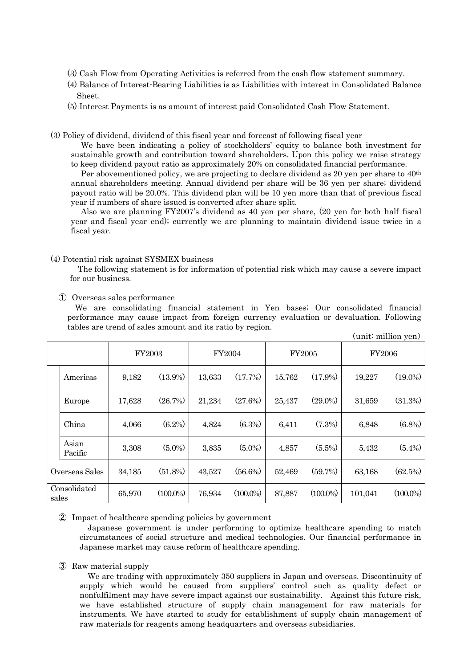- (3) Cash Flow from Operating Activities is referred from the cash flow statement summary.
- (4) Balance of Interest-Bearing Liabilities is as Liabilities with interest in Consolidated Balance Sheet.
- (5) Interest Payments is as amount of interest paid Consolidated Cash Flow Statement.
- (3) Policy of dividend, dividend of this fiscal year and forecast of following fiscal year

We have been indicating a policy of stockholders' equity to balance both investment for sustainable growth and contribution toward shareholders. Upon this policy we raise strategy to keep dividend payout ratio as approximately 20% on consolidated financial performance.

Per abovementioned policy, we are projecting to declare dividend as 20 yen per share to  $40<sup>th</sup>$ annual shareholders meeting. Annual dividend per share will be 36 yen per share; dividend payout ratio will be 20.0%. This dividend plan will be 10 yen more than that of previous fiscal year if numbers of share issued is converted after share split.

Also we are planning FY2007's dividend as 40 yen per share, (20 yen for both half fiscal year and fiscal year end); currently we are planning to maintain dividend issue twice in a fiscal year.

#### (4) Potential risk against SYSMEX business

The following statement is for information of potential risk which may cause a severe impact for our business.

① Overseas sales performance

We are consolidating financial statement in Yen bases; Our consolidated financial performance may cause impact from foreign currency evaluation or devaluation. Following tables are trend of sales amount and its ratio by region.

|                       |                  |        |             |        |             |        |             |         | (unit: million yen) |
|-----------------------|------------------|--------|-------------|--------|-------------|--------|-------------|---------|---------------------|
|                       |                  | FY2003 |             | FY2004 |             | FY2005 |             | FY2006  |                     |
|                       | Americas         | 9,182  | $(13.9\%)$  | 13,633 | (17.7%)     | 15,762 | $(17.9\%)$  | 19,227  | $(19.0\%)$          |
|                       | Europe           | 17,628 | (26.7%)     | 21,234 | (27.6%)     | 25,437 | $(29.0\%)$  | 31,659  | (31.3%)             |
|                       | China            | 4,066  | $(6.2\%)$   | 4,824  | $(6.3\%)$   | 6,411  | $(7.3\%)$   | 6,848   | $(6.8\%)$           |
|                       | Asian<br>Pacific | 3,308  | $(5.0\%)$   | 3,835  | $(5.0\%)$   | 4,857  | $(5.5\%)$   | 5,432   | $(5.4\%)$           |
|                       | Overseas Sales   | 34,185 | $(51.8\%)$  | 43,527 | $(56.6\%)$  | 52,469 | (59.7%)     | 63,168  | (62.5%)             |
| Consolidated<br>sales |                  | 65,970 | $(100.0\%)$ | 76,934 | $(100.0\%)$ | 87,887 | $(100.0\%)$ | 101,041 | $(100.0\%)$         |

② Impact of healthcare spending policies by government

Japanese government is under performing to optimize healthcare spending to match circumstances of social structure and medical technologies. Our financial performance in Japanese market may cause reform of healthcare spending.

③ Raw material supply

We are trading with approximately 350 suppliers in Japan and overseas. Discontinuity of supply which would be caused from suppliers' control such as quality defect or nonfulfilment may have severe impact against our sustainability. Against this future risk, we have established structure of supply chain management for raw materials for instruments. We have started to study for establishment of supply chain management of raw materials for reagents among headquarters and overseas subsidiaries.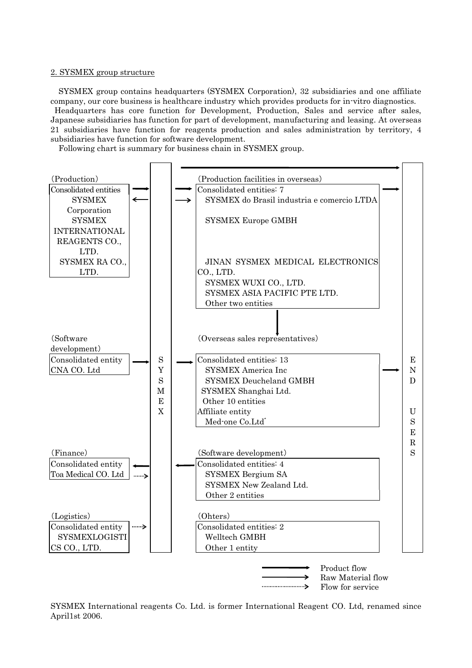#### 2. SYSMEX group structure

SYSMEX group contains headquarters (SYSMEX Corporation), 32 subsidiaries and one affiliate company, our core business is healthcare industry which provides products for in-vitro diagnostics. Headquarters has core function for Development, Production, Sales and service after sales, Japanese subsidiaries has function for part of development, manufacturing and leasing. At overseas 21 subsidiaries have function for reagents production and sales administration by territory, 4 subsidiaries have function for software development.

Following chart is summary for business chain in SYSMEX group.



SYSMEX International reagents Co. Ltd. is former International Reagent CO. Ltd, renamed since April1st 2006.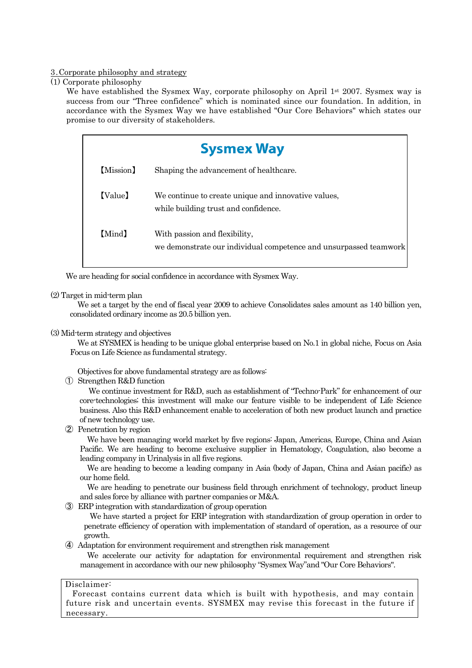3.Corporate philosophy and strategy

(1) Corporate philosophy

We have established the Sysmex Way, corporate philosophy on April  $1^{st}$  2007. Sysmex way is success from our "Three confidence" which is nominated since our foundation. In addition, in accordance with the Sysmex Way we have established "Our Core Behaviors" which states our promise to our diversity of stakeholders.

|           | <b>Sysmex Way</b>                                                                                  |
|-----------|----------------------------------------------------------------------------------------------------|
| (Mission) | Shaping the advancement of healthcare.                                                             |
| [Value]   | We continue to create unique and innovative values,<br>while building trust and confidence.        |
| (Mind)    | With passion and flexibility,<br>we demonstrate our individual competence and unsurpassed teamwork |

We are heading for social confidence in accordance with Sysmex Way.

#### (2) Target in mid-term plan

We set a target by the end of fiscal year 2009 to achieve Consolidates sales amount as 140 billion yen, consolidated ordinary income as 20.5 billion yen.

#### (3) Mid-term strategy and objectives

We at SYSMEX is heading to be unique global enterprise based on No.1 in global niche, Focus on Asia Focus on Life Science as fundamental strategy.

Objectives for above fundamental strategy are as follows:

① Strengthen R&D function

We continue investment for R&D, such as establishment of "Techno-Park" for enhancement of our core-technologies; this investment will make our feature visible to be independent of Life Science business. Also this R&D enhancement enable to acceleration of both new product launch and practice of new technology use.

② Penetration by region

We have been managing world market by five regions: Japan, Americas, Europe, China and Asian Pacific. We are heading to become exclusive supplier in Hematology, Coagulation, also become a leading company in Urinalysis in all five regions.

We are heading to become a leading company in Asia (body of Japan, China and Asian pacific) as our home field.

We are heading to penetrate our business field through enrichment of technology, product lineup and sales force by alliance with partner companies or M&A.

③ ERP integration with standardization of group operation

We have started a project for ERP integration with standardization of group operation in order to penetrate efficiency of operation with implementation of standard of operation, as a resource of our growth.

④ Adaptation for environment requirement and strengthen risk management

We accelerate our activity for adaptation for environmental requirement and strengthen risk management in accordance with our new philosophy "Sysmex Way"and "Our Core Behaviors".

#### Disclaimer:

Forecast contains current data which is built with hypothesis, and may contain future risk and uncertain events. SYSMEX may revise this forecast in the future if necessary.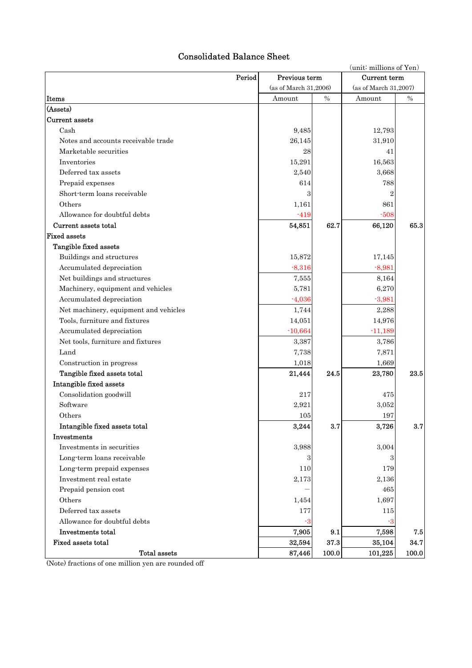### Consolidated Balance Sheet

|                                                                                                                                                                                                                                                                                                                                                                                                                                                                                                                                                                                                                                                                                                                                                                                                                                                                                        |        |                       |       | (unit: millions of Yen) |       |
|----------------------------------------------------------------------------------------------------------------------------------------------------------------------------------------------------------------------------------------------------------------------------------------------------------------------------------------------------------------------------------------------------------------------------------------------------------------------------------------------------------------------------------------------------------------------------------------------------------------------------------------------------------------------------------------------------------------------------------------------------------------------------------------------------------------------------------------------------------------------------------------|--------|-----------------------|-------|-------------------------|-------|
|                                                                                                                                                                                                                                                                                                                                                                                                                                                                                                                                                                                                                                                                                                                                                                                                                                                                                        | Period | Previous term         |       | Current term            |       |
|                                                                                                                                                                                                                                                                                                                                                                                                                                                                                                                                                                                                                                                                                                                                                                                                                                                                                        |        | (as of March 31,2006) |       | (as of March 31,2007)   |       |
| Items<br>Cash<br>Notes and accounts receivable trade<br>Marketable securities<br>Inventories<br>Deferred tax assets<br>Prepaid expenses<br>Short-term loans receivable<br>Others<br>Allowance for doubtful debts<br>Current assets total<br>Tangible fixed assets<br>Buildings and structures<br>Accumulated depreciation<br>Net buildings and structures<br>Machinery, equipment and vehicles<br>Accumulated depreciation<br>Net machinery, equipment and vehicles<br>Tools, furniture and fixtures<br>Accumulated depreciation<br>Net tools, furniture and fixtures<br>Land<br>Construction in progress<br>Tangible fixed assets total<br>Intangible fixed assets<br>Consolidation goodwill<br>Software<br>Others<br>Intangible fixed assets total<br>Investments<br>Investments in securities<br>Long-term loans receivable<br>Long-term prepaid expenses<br>Investment real estate |        | Amount                | $\%$  | Amount                  | $\%$  |
| (Assets)                                                                                                                                                                                                                                                                                                                                                                                                                                                                                                                                                                                                                                                                                                                                                                                                                                                                               |        |                       |       |                         |       |
| Current assets                                                                                                                                                                                                                                                                                                                                                                                                                                                                                                                                                                                                                                                                                                                                                                                                                                                                         |        |                       |       |                         |       |
|                                                                                                                                                                                                                                                                                                                                                                                                                                                                                                                                                                                                                                                                                                                                                                                                                                                                                        |        | 9,485                 |       | 12,793                  |       |
|                                                                                                                                                                                                                                                                                                                                                                                                                                                                                                                                                                                                                                                                                                                                                                                                                                                                                        |        | 26,145                |       | 31,910                  |       |
|                                                                                                                                                                                                                                                                                                                                                                                                                                                                                                                                                                                                                                                                                                                                                                                                                                                                                        |        | 28                    |       | 41                      |       |
|                                                                                                                                                                                                                                                                                                                                                                                                                                                                                                                                                                                                                                                                                                                                                                                                                                                                                        |        | 15,291                |       | 16,563                  |       |
|                                                                                                                                                                                                                                                                                                                                                                                                                                                                                                                                                                                                                                                                                                                                                                                                                                                                                        |        | 2,540                 |       | 3,668                   |       |
|                                                                                                                                                                                                                                                                                                                                                                                                                                                                                                                                                                                                                                                                                                                                                                                                                                                                                        |        | 614                   |       | 788                     |       |
|                                                                                                                                                                                                                                                                                                                                                                                                                                                                                                                                                                                                                                                                                                                                                                                                                                                                                        |        | 3                     |       | $\overline{2}$          |       |
|                                                                                                                                                                                                                                                                                                                                                                                                                                                                                                                                                                                                                                                                                                                                                                                                                                                                                        |        | 1,161                 |       | 861                     |       |
|                                                                                                                                                                                                                                                                                                                                                                                                                                                                                                                                                                                                                                                                                                                                                                                                                                                                                        |        | $-419$                |       | $-508$                  |       |
|                                                                                                                                                                                                                                                                                                                                                                                                                                                                                                                                                                                                                                                                                                                                                                                                                                                                                        |        | 54,851                | 62.7  | 66,120                  | 65.3  |
| <b>Fixed assets</b>                                                                                                                                                                                                                                                                                                                                                                                                                                                                                                                                                                                                                                                                                                                                                                                                                                                                    |        |                       |       |                         |       |
|                                                                                                                                                                                                                                                                                                                                                                                                                                                                                                                                                                                                                                                                                                                                                                                                                                                                                        |        |                       |       |                         |       |
|                                                                                                                                                                                                                                                                                                                                                                                                                                                                                                                                                                                                                                                                                                                                                                                                                                                                                        |        | 15,872                |       | 17,145                  |       |
|                                                                                                                                                                                                                                                                                                                                                                                                                                                                                                                                                                                                                                                                                                                                                                                                                                                                                        |        | $-8,316$              |       | $-8,981$                |       |
|                                                                                                                                                                                                                                                                                                                                                                                                                                                                                                                                                                                                                                                                                                                                                                                                                                                                                        |        | 7,555                 |       | 8,164                   |       |
|                                                                                                                                                                                                                                                                                                                                                                                                                                                                                                                                                                                                                                                                                                                                                                                                                                                                                        |        | 5,781                 |       | 6,270                   |       |
|                                                                                                                                                                                                                                                                                                                                                                                                                                                                                                                                                                                                                                                                                                                                                                                                                                                                                        |        | $-4,036$              |       | $-3,981$                |       |
|                                                                                                                                                                                                                                                                                                                                                                                                                                                                                                                                                                                                                                                                                                                                                                                                                                                                                        |        | 1,744                 |       | 2,288                   |       |
|                                                                                                                                                                                                                                                                                                                                                                                                                                                                                                                                                                                                                                                                                                                                                                                                                                                                                        |        | 14,051                |       | 14,976                  |       |
|                                                                                                                                                                                                                                                                                                                                                                                                                                                                                                                                                                                                                                                                                                                                                                                                                                                                                        |        | $-10,664$             |       | $-11,189$               |       |
|                                                                                                                                                                                                                                                                                                                                                                                                                                                                                                                                                                                                                                                                                                                                                                                                                                                                                        |        | 3,387                 |       | 3,786                   |       |
|                                                                                                                                                                                                                                                                                                                                                                                                                                                                                                                                                                                                                                                                                                                                                                                                                                                                                        |        | 7,738                 |       | 7,871                   |       |
|                                                                                                                                                                                                                                                                                                                                                                                                                                                                                                                                                                                                                                                                                                                                                                                                                                                                                        |        | 1,018                 |       | 1,669                   |       |
|                                                                                                                                                                                                                                                                                                                                                                                                                                                                                                                                                                                                                                                                                                                                                                                                                                                                                        |        | 21,444                | 24.5  | 23,780                  | 23.5  |
|                                                                                                                                                                                                                                                                                                                                                                                                                                                                                                                                                                                                                                                                                                                                                                                                                                                                                        |        |                       |       |                         |       |
|                                                                                                                                                                                                                                                                                                                                                                                                                                                                                                                                                                                                                                                                                                                                                                                                                                                                                        |        | 217                   |       | 475                     |       |
|                                                                                                                                                                                                                                                                                                                                                                                                                                                                                                                                                                                                                                                                                                                                                                                                                                                                                        |        | 2,921                 |       | 3,052                   |       |
|                                                                                                                                                                                                                                                                                                                                                                                                                                                                                                                                                                                                                                                                                                                                                                                                                                                                                        |        | $105\,$               |       | 197                     |       |
|                                                                                                                                                                                                                                                                                                                                                                                                                                                                                                                                                                                                                                                                                                                                                                                                                                                                                        |        | 3,244                 | 3.7   | 3,726                   | 3.7   |
|                                                                                                                                                                                                                                                                                                                                                                                                                                                                                                                                                                                                                                                                                                                                                                                                                                                                                        |        |                       |       |                         |       |
|                                                                                                                                                                                                                                                                                                                                                                                                                                                                                                                                                                                                                                                                                                                                                                                                                                                                                        |        | 3,988                 |       | 3,004                   |       |
|                                                                                                                                                                                                                                                                                                                                                                                                                                                                                                                                                                                                                                                                                                                                                                                                                                                                                        |        | 3                     |       | 3                       |       |
|                                                                                                                                                                                                                                                                                                                                                                                                                                                                                                                                                                                                                                                                                                                                                                                                                                                                                        |        | 110                   |       | 179                     |       |
|                                                                                                                                                                                                                                                                                                                                                                                                                                                                                                                                                                                                                                                                                                                                                                                                                                                                                        |        | 2,173                 |       | 2,136                   |       |
| Prepaid pension cost                                                                                                                                                                                                                                                                                                                                                                                                                                                                                                                                                                                                                                                                                                                                                                                                                                                                   |        |                       |       | 465                     |       |
| Others                                                                                                                                                                                                                                                                                                                                                                                                                                                                                                                                                                                                                                                                                                                                                                                                                                                                                 |        | 1,454                 |       | 1,697                   |       |
| Deferred tax assets                                                                                                                                                                                                                                                                                                                                                                                                                                                                                                                                                                                                                                                                                                                                                                                                                                                                    |        | 177                   |       | 115                     |       |
| Allowance for doubtful debts                                                                                                                                                                                                                                                                                                                                                                                                                                                                                                                                                                                                                                                                                                                                                                                                                                                           |        | $-3$                  |       | $-3$                    |       |
| Investments total                                                                                                                                                                                                                                                                                                                                                                                                                                                                                                                                                                                                                                                                                                                                                                                                                                                                      |        | 7,905                 | 9.1   | 7,598                   | 7.5   |
| Fixed assets total                                                                                                                                                                                                                                                                                                                                                                                                                                                                                                                                                                                                                                                                                                                                                                                                                                                                     |        | 32,594                | 37.3  | 35,104                  | 34.7  |
| <b>Total assets</b>                                                                                                                                                                                                                                                                                                                                                                                                                                                                                                                                                                                                                                                                                                                                                                                                                                                                    |        | 87,446                | 100.0 | 101,225                 | 100.0 |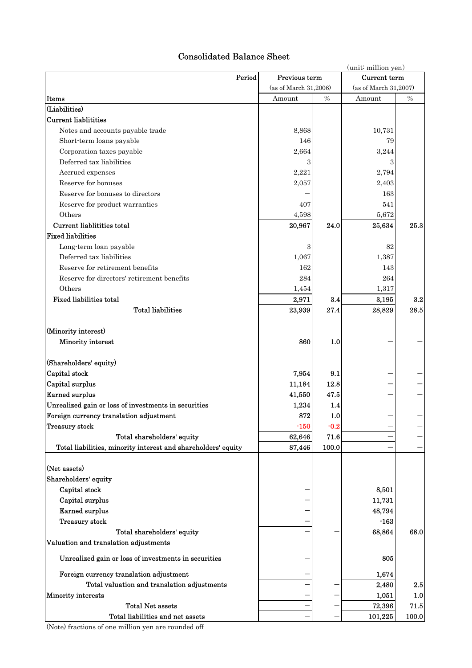### Consolidated Balance Sheet

|                                                               |                       |               | (unit: million yen)   |         |
|---------------------------------------------------------------|-----------------------|---------------|-----------------------|---------|
| Period                                                        | Previous term         |               | Current term          |         |
|                                                               | (as of March 31,2006) |               | (as of March 31.2007) |         |
| Items                                                         | Amount                | $\frac{0}{0}$ | Amount                | $\%$    |
| (Liabilities)                                                 |                       |               |                       |         |
| <b>Current liablitities</b>                                   |                       |               |                       |         |
| Notes and accounts payable trade                              | 8,868                 |               | 10,731                |         |
| Short-term loans payable                                      | 146                   |               | 79                    |         |
| Corporation taxes payable                                     | 2,664                 |               | 3,244                 |         |
| Deferred tax liabilities                                      | 3                     |               | 3                     |         |
| Accrued expenses                                              | 2,221                 |               | 2,794                 |         |
| Reserve for bonuses                                           | 2,057                 |               | 2,403                 |         |
| Reserve for bonuses to directors                              |                       |               | 163                   |         |
| Reserve for product warranties                                | 407                   |               | 541                   |         |
| Others                                                        | 4,598                 |               | 5,672                 |         |
| Current liablitities total                                    | 20,967                | 24.0          | 25,634                | 25.3    |
| <b>Fixed liabilities</b>                                      |                       |               |                       |         |
| Long-term loan payable                                        | 3                     |               | 82                    |         |
| Deferred tax liabilities                                      | 1,067                 |               | 1,387                 |         |
| Reserve for retirement benefits                               | 162                   |               | 143                   |         |
| Reserve for directors' retirement benefits                    | 284                   |               | 264                   |         |
| Others                                                        | 1,454                 |               | 1,317                 |         |
| <b>Fixed liabilities total</b>                                | 2,971                 | 3.4           | 3,195                 | 3.2     |
| <b>Total liabilities</b>                                      | 23,939                | 27.4          | 28,829                | 28.5    |
| (Minority interest)                                           |                       |               |                       |         |
| Minority interest                                             | 860                   | 1.0           |                       |         |
|                                                               |                       |               |                       |         |
| (Shareholders' equity)                                        |                       |               |                       |         |
| Capital stock                                                 | 7,954                 | 9.1           |                       |         |
| Capital surplus                                               | 11,184                | 12.8          |                       |         |
| Earned surplus                                                | 41,550                | 47.5          |                       |         |
| Unrealized gain or loss of investments in securities          | 1,234                 | 1.4           |                       |         |
| Foreign currency translation adjustment                       | 872                   | 1.0           |                       |         |
| Treasury stock                                                | $-150$                | $-0.2$        |                       |         |
| Total shareholders' equity                                    | 62,646                | 71.6          |                       |         |
| Total liabilities, minority interest and shareholders' equity | 87,446                | 100.0         |                       |         |
|                                                               |                       |               |                       |         |
| (Net assets)                                                  |                       |               |                       |         |
| Shareholders' equity                                          |                       |               |                       |         |
| Capital stock                                                 |                       |               | 8,501                 |         |
| Capital surplus                                               |                       |               | 11,731                |         |
| Earned surplus                                                |                       |               | 48,794                |         |
| Treasury stock                                                |                       |               | $-163$                |         |
| Total shareholders' equity                                    |                       |               | 68,864                | 68.0    |
| Valuation and translation adjustments                         |                       |               |                       |         |
| Unrealized gain or loss of investments in securities          |                       |               | 805                   |         |
| Foreign currency translation adjustment                       |                       |               | 1,674                 |         |
| Total valuation and translation adjustments                   |                       |               | 2,480                 | $2.5\,$ |
| Minority interests                                            |                       |               | 1,051                 | 1.0     |
| <b>Total Net assets</b>                                       |                       |               | 72,396                | 71.5    |
| Total liabilities and net assets                              |                       |               | 101,225               | 100.0   |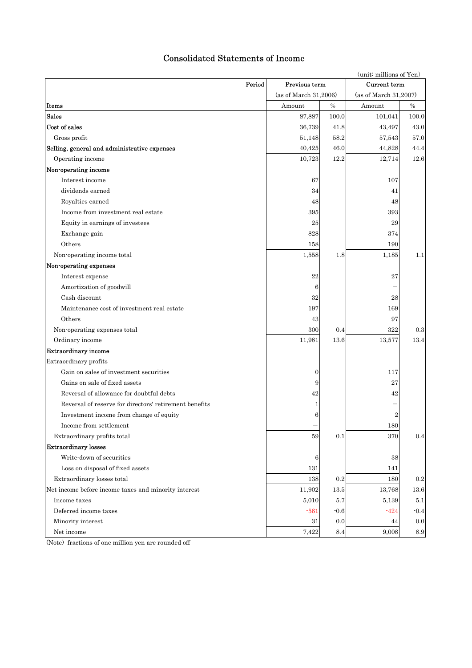### Consolidated Statements of Income

|                                                        |                       |        | (unit: millions of Yen) |           |
|--------------------------------------------------------|-----------------------|--------|-------------------------|-----------|
| Period                                                 | Previous term         |        | Current term            |           |
|                                                        | (as of March 31,2006) |        | (as of March 31,2007)   |           |
| Items                                                  | Amount                | $\%$   | Amount                  | $\%$      |
| <b>Sales</b>                                           | 87,887                | 100.0  | 101,041                 | 100.0     |
| Cost of sales                                          | 36,739                | 41.8   | 43,497                  | 43.0      |
| Gross profit                                           | 51,148                | 58.2   | 57,543                  | 57.0      |
| Selling, general and administrative expenses           | 40,425                | 46.0   | 44,828                  | 44.4      |
| Operating income                                       | 10,723                | 12.2   | 12,714                  | 12.6      |
| Non-operating income                                   |                       |        |                         |           |
| Interest income                                        | 67                    |        | 107                     |           |
| dividends earned                                       | 34                    |        | 41                      |           |
| Royalties earned                                       | 48                    |        | 48                      |           |
| Income from investment real estate                     | 395                   |        | 393                     |           |
| Equity in earnings of investees                        | 25                    |        | 29                      |           |
| Exchange gain                                          | 828                   |        | 374                     |           |
| Others                                                 | 158                   |        | 190                     |           |
| Non-operating income total                             | 1,558                 | 1.8    | 1,185                   | 1.1       |
| Non-operating expenses                                 |                       |        |                         |           |
| Interest expense                                       | 22                    |        | 27                      |           |
| Amortization of goodwill                               |                       | 6      |                         |           |
| Cash discount                                          | $32\,$                |        | 28                      |           |
| Maintenance cost of investment real estate             | 197                   |        | 169                     |           |
| Others                                                 | 43                    |        | 97                      |           |
| Non-operating expenses total                           | 300                   | 0.4    | 322                     | 0.3       |
| Ordinary income                                        | 11,981                | 13.6   | 13,577                  | 13.4      |
| <b>Extraordinary income</b>                            |                       |        |                         |           |
| Extraordinary profits                                  |                       |        |                         |           |
| Gain on sales of investment securities                 |                       | 0      | 117                     |           |
| Gains on sale of fixed assets                          |                       | 9      | 27                      |           |
| Reversal of allowance for doubtful debts               | 42                    |        | 42                      |           |
| Reversal of reserve for directors' retirement benefits |                       | 1      |                         |           |
| Investment income from change of equity                |                       | 6      |                         |           |
| Income from settlement                                 |                       |        | 180                     |           |
| Extraordinary profits total                            | 59                    | 0.1    | 370                     | 0.4       |
| <b>Extraordinary losses</b>                            |                       |        |                         |           |
| Write-down of securities                               |                       | 6      | 38                      |           |
| Loss on disposal of fixed assets                       | 131                   |        | 141                     |           |
| Extraordinary losses total                             | 138                   | 0.2    | 180                     | $\rm 0.2$ |
| Net income before income taxes and minority interest   | 11,902                | 13.5   | 13,768                  | 13.6      |
| Income taxes                                           | 5,010                 | 5.7    | 5,139                   | 5.1       |
| Deferred income taxes                                  | $-561$                | $-0.6$ | $-424$                  | $-0.4$    |
| Minority interest                                      | 31                    | 0.0    | 44                      | 0.0       |
| Net income                                             | 7,422                 | 8.4    | 9,008                   | 8.9       |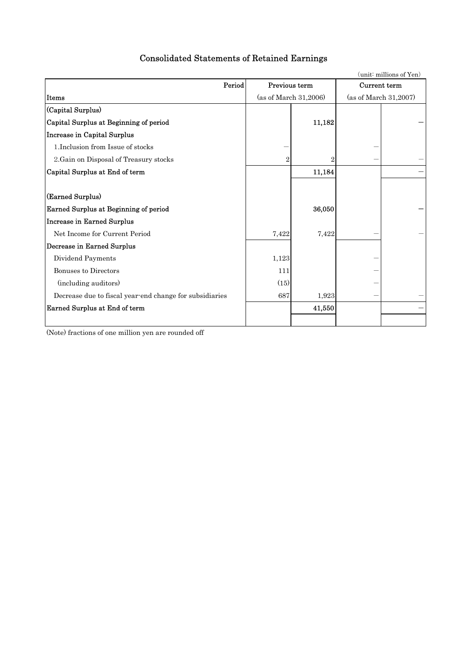# Consolidated Statements of Retained Earnings

|                                                         |               |                       |              | (unit: millions of Yen) |
|---------------------------------------------------------|---------------|-----------------------|--------------|-------------------------|
| Period                                                  | Previous term |                       | Current term |                         |
| Items                                                   |               | (as of March 31,2006) |              | (as of March 31,2007)   |
| (Capital Surplus)                                       |               |                       |              |                         |
| Capital Surplus at Beginning of period                  |               | 11,182                |              |                         |
| <b>Increase in Capital Surplus</b>                      |               |                       |              |                         |
| 1. Inclusion from Issue of stocks                       |               |                       |              |                         |
| 2. Gain on Disposal of Treasury stocks                  |               | $\overline{2}$        |              |                         |
| Capital Surplus at End of term                          |               | 11,184                |              |                         |
|                                                         |               |                       |              |                         |
| (Earned Surplus)                                        |               |                       |              |                         |
| Earned Surplus at Beginning of period                   |               | 36,050                |              |                         |
| <b>Increase in Earned Surplus</b>                       |               |                       |              |                         |
| Net Income for Current Period                           | 7,422         | 7,422                 |              |                         |
| Decrease in Earned Surplus                              |               |                       |              |                         |
| Dividend Payments                                       | 1,123         |                       |              |                         |
| <b>Bonuses to Directors</b>                             | 111           |                       |              |                         |
| (including auditors)                                    | (15)          |                       |              |                         |
| Decrease due to fiscal year end change for subsidiaries | 687           | 1,923                 |              |                         |
| Earned Surplus at End of term                           |               | 41,550                |              |                         |
|                                                         |               |                       |              |                         |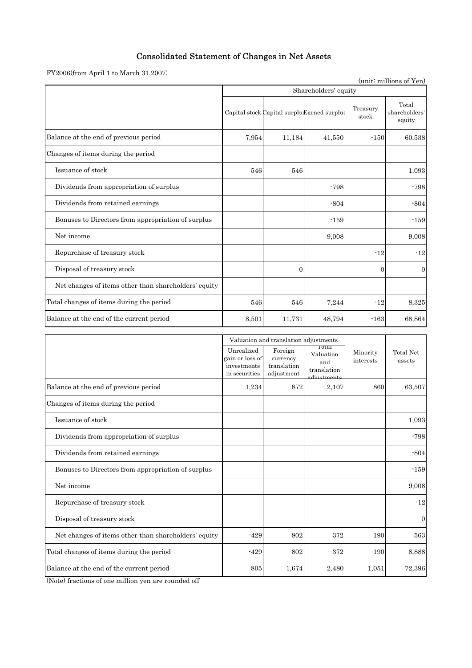### Consolidated Statement of Changes in Net Assets

FY2006(from April 1 to March 31,2007)

|                                                      |       |                                             |                      |                   | (unit: millions of Yen)          |
|------------------------------------------------------|-------|---------------------------------------------|----------------------|-------------------|----------------------------------|
|                                                      |       |                                             | Shareholders' equity |                   |                                  |
|                                                      |       | Capital stock Capital surplu Earned surplus |                      | Treasury<br>stock | Total<br>shareholders'<br>equity |
| Balance at the end of previous period                | 7,954 | 11,184                                      | 41,550               | $-150$            | 60,538                           |
| Changes of items during the period                   |       |                                             |                      |                   |                                  |
| Issuance of stock                                    | 546   | 546                                         |                      |                   | 1,093                            |
| Dividends from appropriation of surplus              |       |                                             | $-798$               |                   | $-798$                           |
| Dividends from retained earnings                     |       |                                             | $-804$               |                   | $-804$                           |
| Bonuses to Directors from appropriation of surplus   |       |                                             | $-159$               |                   | $-159$                           |
| Net income                                           |       |                                             | 9,008                |                   | 9,008                            |
| Repurchase of treasury stock                         |       |                                             |                      | $-12$             | $-12$                            |
| Disposal of treasury stock                           |       | $\Omega$                                    |                      | $\Omega$          | $\Omega$                         |
| Net changes of items other than shareholders' equity |       |                                             |                      |                   |                                  |
| Total changes of items during the period             | 546   | 546                                         | 7,244                | $-12$             | 8,325                            |
| Balance at the end of the current period             | 8.501 | 11,731                                      | 48,794               | $-163$            | 68,864                           |

|                                                      |                                                               | Valuation and translation adjustments            |                                                         |                       |                     |
|------------------------------------------------------|---------------------------------------------------------------|--------------------------------------------------|---------------------------------------------------------|-----------------------|---------------------|
|                                                      | Unrealized<br>gain or loss of<br>investments<br>in securities | Foreign<br>currency<br>translation<br>adjustment | тотаг<br>Valuation<br>and<br>translation<br>adjustments | Minority<br>interests | Total Net<br>assets |
| Balance at the end of previous period                | 1,234                                                         | 872                                              | 2,107                                                   | 860                   | 63,507              |
| Changes of items during the period                   |                                                               |                                                  |                                                         |                       |                     |
| Issuance of stock                                    |                                                               |                                                  |                                                         |                       | 1,093               |
| Dividends from appropriation of surplus              |                                                               |                                                  |                                                         |                       | $-798$              |
| Dividends from retained earnings                     |                                                               |                                                  |                                                         |                       | $-804$              |
| Bonuses to Directors from appropriation of surplus   |                                                               |                                                  |                                                         |                       | $-159$              |
| Net income                                           |                                                               |                                                  |                                                         |                       | 9,008               |
| Repurchase of treasury stock                         |                                                               |                                                  |                                                         |                       | $-12$               |
| Disposal of treasury stock                           |                                                               |                                                  |                                                         |                       | $\overline{0}$      |
| Net changes of items other than shareholders' equity | $-429$                                                        | 802                                              | 372                                                     | 190                   | 563                 |
| Total changes of items during the period             | $-429$                                                        | 802                                              | 372                                                     | 190                   | 8,888               |
| Balance at the end of the current period             | 805                                                           | 1,674                                            | 2,480                                                   | 1,051                 | 72,396              |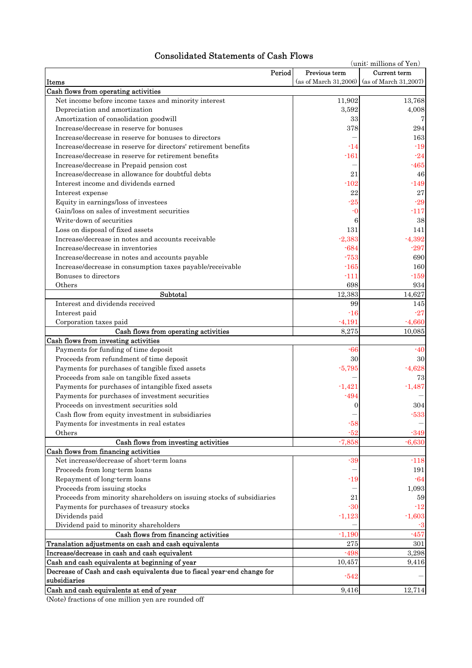## Consolidated Statements of Cash Flows

| Consondated Statements of Cash Flows                                                    | (unit: millions of Yen) |                       |
|-----------------------------------------------------------------------------------------|-------------------------|-----------------------|
| Period                                                                                  | Previous term           | Current term          |
| Items                                                                                   | (as of March 31,2006)   | (as of March 31,2007) |
| Cash flows from operating activities                                                    |                         |                       |
| Net income before income taxes and minority interest                                    | 11,902                  | 13,768                |
| Depreciation and amortization                                                           | 3,592                   | 4,008                 |
| Amortization of consolidation goodwill                                                  | 33                      | 7                     |
| Increase/decrease in reserve for bonuses                                                | 378                     | 294                   |
| Increase/decrease in reserve for bonuses to directors                                   |                         | 163                   |
| Increase/decrease in reserve for directors' retirement benefits                         | -14                     | $-19$                 |
| Increase/decrease in reserve for retirement benefits                                    | $-161$                  | $-24$                 |
| Increase/decrease in Prepaid pension cost                                               |                         | $-465$                |
| Increase/decrease in allowance for doubtful debts                                       | 21                      | 46                    |
| Interest income and dividends earned                                                    | $-102$                  | $-149$                |
| Interest expense                                                                        | 22                      | 27                    |
| Equity in earnings/loss of investees                                                    | -25                     | $-29$                 |
| Gain/loss on sales of investment securities                                             | -0                      | $-117$                |
| Write-down of securities                                                                | 6                       | 38                    |
| Loss on disposal of fixed assets                                                        | 131                     | 141                   |
| Increase/decrease in notes and accounts receivable                                      | $-2,383$                | $-4,392$              |
| Increase/decrease in inventories                                                        | $-684$                  | $-297$                |
| Increase/decrease in notes and accounts payable                                         | $-753$                  | 690                   |
| Increase/decrease in consumption taxes payable/receivable                               | $-165$                  | 160                   |
| Bonuses to directors                                                                    | -111                    | $-159$                |
| Others                                                                                  | 698                     | 934                   |
| Subtotal                                                                                | 12,383                  | 14,627                |
| Interest and dividends received                                                         | 99                      | 145                   |
| Interest paid                                                                           | $-16$                   | $-27$                 |
| Corporation taxes paid                                                                  | $-4,191$                | $-4,660$              |
| Cash flows from operating activities                                                    | 8,275                   | 10,085                |
| Cash flows from investing activities                                                    |                         |                       |
| Payments for funding of time deposit                                                    | $-66$                   | $-40$                 |
| Proceeds from refundment of time deposit                                                | 30                      | 30                    |
| Payments for purchases of tangible fixed assets                                         | $-5,795$                | $-4,628$              |
| Proceeds from sale on tangible fixed assets                                             |                         | 73                    |
| Payments for purchases of intangible fixed assets                                       | $-1,421$                | $-1,487$              |
| Payments for purchases of investment securities                                         | $-494$                  |                       |
| Proceeds on investment securities sold                                                  | $\boldsymbol{0}$        | 304                   |
| Cash flow from equity investment in subsidiaries                                        |                         | $-533$                |
| Payments for investments in real estates                                                | $-58$                   |                       |
| Others                                                                                  | $-52$                   | $-349$                |
| Cash flows from investing activities                                                    | $-7,858$                | $-6,630$              |
| Cash flows from financing activities                                                    |                         |                       |
| Net increase/decrease of short-term loans                                               | $-39$                   | $-118$                |
| Proceeds from long-term loans                                                           |                         | 191                   |
| Repayment of long-term loans                                                            | -19                     | $-64$                 |
| Proceeds from issuing stocks                                                            |                         | 1,093                 |
| Proceeds from minority shareholders on issuing stocks of subsidiaries                   | 21                      | 59                    |
| Payments for purchases of treasury stocks                                               | -30                     | $-12$                 |
| Dividends paid                                                                          | $-1,123$                | $-1,603$              |
| Dividend paid to minority shareholders                                                  |                         | $-3$                  |
| Cash flows from financing activities                                                    | $-1,190$                | $-457$                |
| Translation adjustments on cash and cash equivalents                                    | 275                     | 301                   |
| Increase/decrease in cash and cash equivalent                                           | $-498$                  | 3,298                 |
| Cash and cash equivalents at beginning of year                                          | 10,457                  | 9,416                 |
| Decrease of Cash and cash equivalents due to fiscal year end change for<br>subsidiaries | $-542$                  |                       |
| Cash and cash equivalents at end of year                                                | 9,416                   |                       |
|                                                                                         |                         | 12,714                |